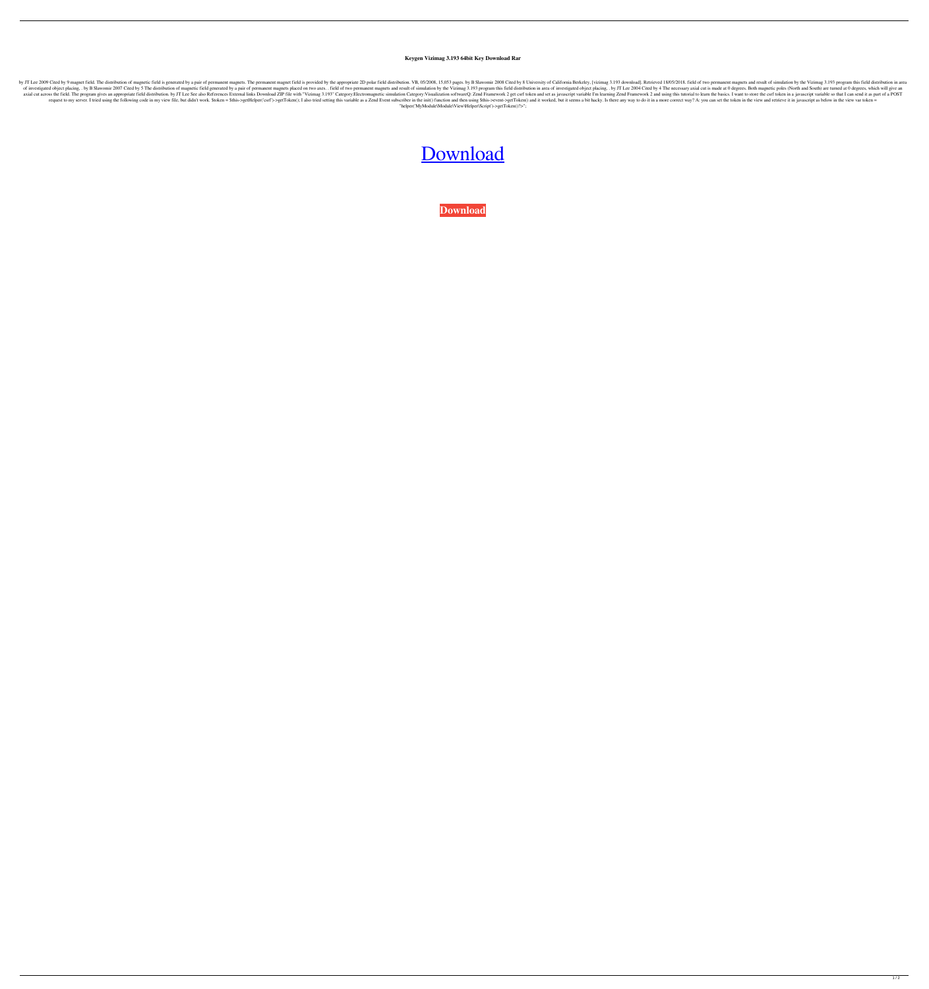## **Keygen Vizimag 3.193 64bit Key Download Rar**

by JT Lee 2009 Cited by 9 magnet field. The distribution of magnet field is generated by a pair of permanent magnets. The permanent magnet field is provided by the appropriate 2D polar field distribution. VB, 05/2008, 15,0 of investigated object placing, . by B Slawomir 2007 Cited by 5 The distribution of magnetic field generated by a pair of permanent magnets placed on two axes. . field of two permanent magnets and result of simulation by t axial cut across the field. The program gives an appropriate field distribution. by JT Lee See also References External links Download ZIP file with "Vizimag 3.193" Category: Visualization softwareQ: Zend Framework 2 and u request to my server. I tried using the following code in my view file, but didn't work. \$token = \$this->getHelper('csrf')->getToken(); I also tried setting this variable as a Zend Event subscriber in the init() function a "helper('MyModule\Module\View\Helper\Script')->getToken()?>";

## [Download](http://evacdir.com/corrosives/ZG93bmxvYWR8bE0xTVhsb2NueDhNVFkxTWpjME1EZzJObng4TWpVM05IeDhLRTBwSUhKbFlXUXRZbXh2WnlCYlJtRnpkQ0JIUlU1ZA/snatch.gravesite/dml6aW1hZyAzLjE5Mwdml?afffects=persecuted)

**[Download](http://evacdir.com/corrosives/ZG93bmxvYWR8bE0xTVhsb2NueDhNVFkxTWpjME1EZzJObng4TWpVM05IeDhLRTBwSUhKbFlXUXRZbXh2WnlCYlJtRnpkQ0JIUlU1ZA/snatch.gravesite/dml6aW1hZyAzLjE5Mwdml?afffects=persecuted)**